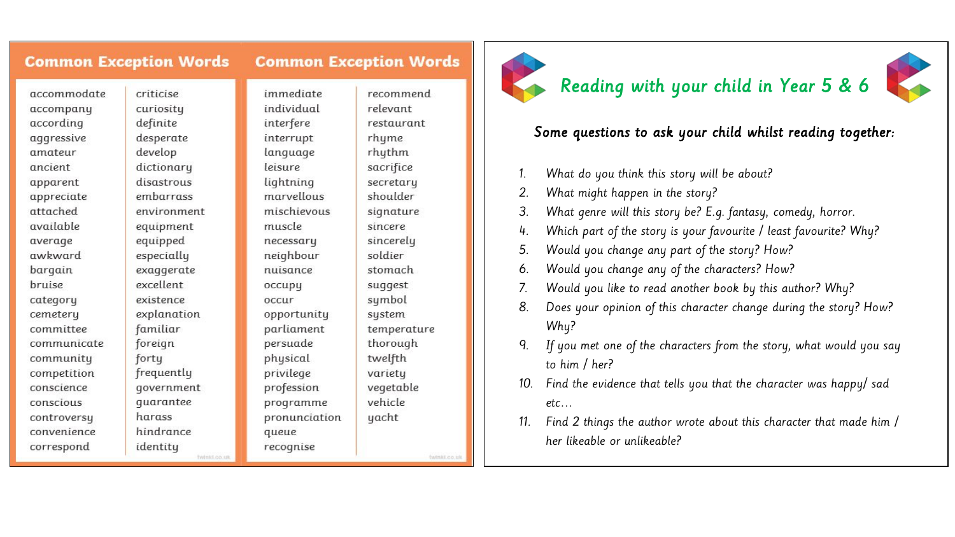#### **Common Exception Words Common Exception Words**

immediate

individual

interfere

interrupt

language

lightning

marvellous

mischievous

leisure

muscle

necessary neighbour

nuisance

opportunity

parliament

persuade

physical

privilege

queue

recognise

profession

programme

оссиру

occur

accommodate accompany according aggressive amateur ancient apparent appreciate attached available average awkward bargain bruise category cemetery committee communicate community competition conscience conscious controversu convenience correspond

criticise curiosity definite desperate develop dictionary disastrous embarrass environment equipment equipped especially exaggerate excellent existence explanation familiar foreign frequently qovernment quarantee hindrance identity

twinkl.co.uk

forty

harass

recommend relevant restaurant rhume rhythm sacrifice secretary shoulder signature sincere sincerely soldier stomach suggest sumbol system temperature thorough twelfth variety vegetable vehicle pronunciation yacht

behikt.co.u



# Reading with your child in Year 5 & 6

### Some questions to ask your child whilst reading together:

- 1. What do you think this story will be about?
- 2. What might happen in the story?
- 3. What genre will this story be? E.g. fantasy, comedy, horror.
- 4. Which part of the story is your favourite / least favourite? Why?
- 5. Would you change any part of the story? How?
- 6. Would you change any of the characters? How?
- 7. Would you like to read another book by this author? Why?
- 8. Does your opinion of this character change during the story? How? Why?
- If you met one of the characters from the story, what would you say to him / her?
- 10. Find the evidence that tells you that the character was happy/ sad etc…
- 11. Find 2 things the author wrote about this character that made him / her likeable or unlikeable?